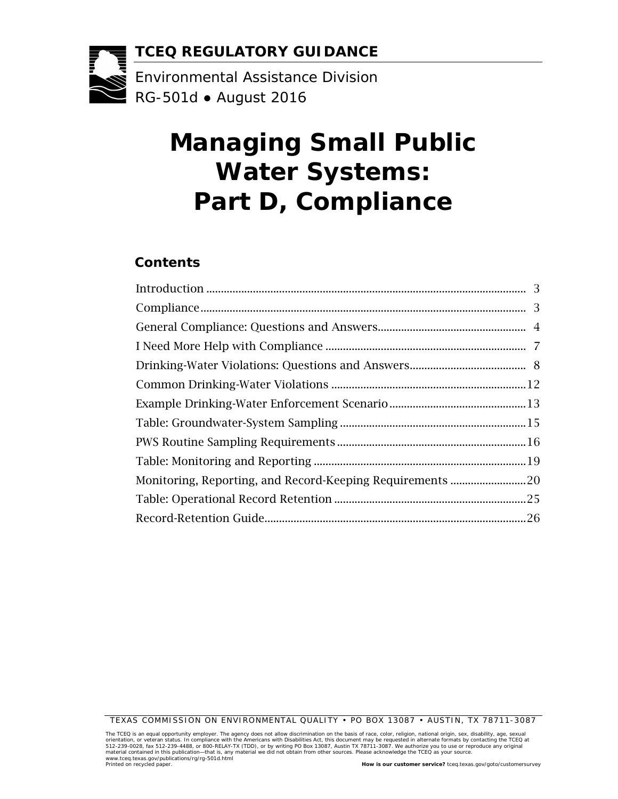**TCEQ REGULATORY GUIDANCE**

Environmental Assistance Division RG-501d ● August 2016

# **Managing Small Public Water Systems: Part D, Compliance**

#### **Contents**

| Monitoring, Reporting, and Record-Keeping Requirements  20 |  |
|------------------------------------------------------------|--|
|                                                            |  |
|                                                            |  |

TEXAS COMMISSION ON ENVIRONMENTAL QUALITY • PO BOX 13087 • AUSTIN, TX 78711-3087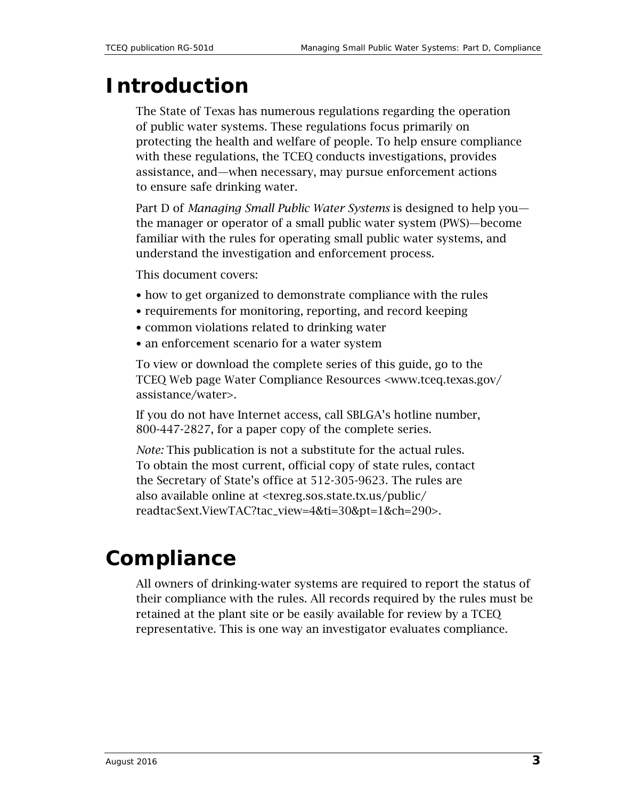### <span id="page-2-0"></span>**Introduction**

The State of Texas has numerous regulations regarding the operation of public water systems. These regulations focus primarily on protecting the health and welfare of people. To help ensure compliance with these regulations, the TCEQ conducts investigations, provides assistance, and—when necessary, may pursue enforcement actions to ensure safe drinking water.

Part D of *Managing Small Public Water Systems* is designed to help you the manager or operator of a small public water system (PWS)—become familiar with the rules for operating small public water systems, and understand the investigation and enforcement process.

This document covers:

- how to get organized to demonstrate compliance with the rules
- requirements for monitoring, reporting, and record keeping
- common violations related to drinking water
- an enforcement scenario for a water system

To view or download the complete series of this guide, go to the TCEQ Web page Water Compliance Resources <www.tceq.texas.gov/ assistance/water>.

If you do not have Internet access, call SBLGA's hotline number, 800-447-2827, for a paper copy of the complete series.

*Note:* This publication is not a substitute for the actual rules. To obtain the most current, official copy of state rules, contact the Secretary of State's office at 512-305-9623. The rules are also available online at [<texreg.sos.state.tx.us/public/](http://texreg.sos.state.tx.us/public/readtac$ext.ViewTAC?tac_view=4&ti=30&pt=1&ch=290) [readtac\\$ext.ViewTAC?tac\\_view=4&ti=30&pt=1&ch=290>](http://texreg.sos.state.tx.us/public/readtac$ext.ViewTAC?tac_view=4&ti=30&pt=1&ch=290).

### <span id="page-2-1"></span>**Compliance**

All owners of drinking-water systems are required to report the status of their compliance with the rules. All records required by the rules must be retained at the plant site or be easily available for review by a TCEQ representative. This is one way an investigator evaluates compliance.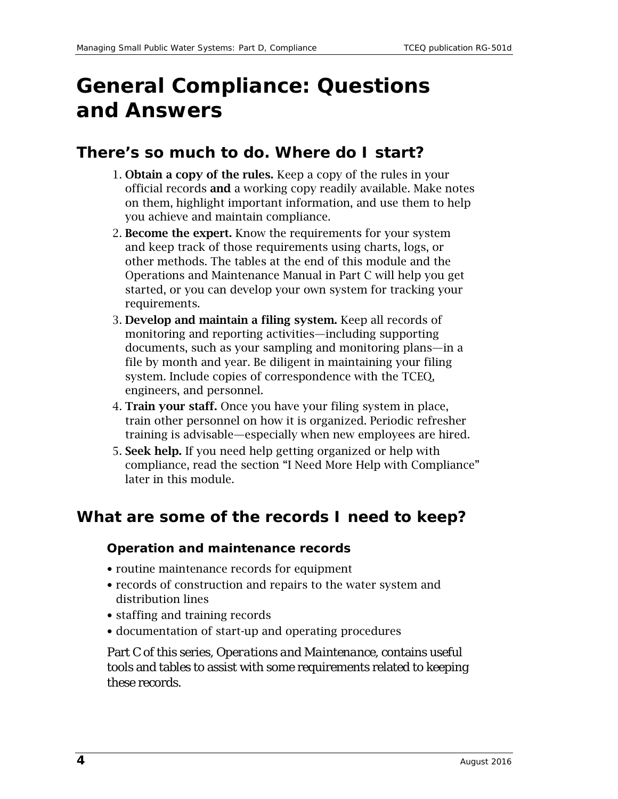## <span id="page-3-0"></span>**General Compliance: Questions and Answers**

#### **There's so much to do. Where do I start?**

- 1. Obtain a copy of the rules. Keep a copy of the rules in your official records and a working copy readily available. Make notes on them, highlight important information, and use them to help you achieve and maintain compliance.
- 2. Become the expert. Know the requirements for your system and keep track of those requirements using charts, logs, or other methods. The tables at the end of this module and the Operations and Maintenance Manual in Part C will help you get started, or you can develop your own system for tracking your requirements.
- 3. Develop and maintain a filing system. Keep all records of monitoring and reporting activities—including supporting documents, such as your sampling and monitoring plans—in a file by month and year. Be diligent in maintaining your filing system. Include copies of correspondence with the TCEQ, engineers, and personnel.
- 4. Train your staff. Once you have your filing system in place, train other personnel on how it is organized. Periodic refresher training is advisable—especially when new employees are hired.
- 5. Seek help. If you need help getting organized or help with compliance, read the section "I Need More Help with Compliance" later in this module.

#### **What are some of the records I need to keep?**

#### **Operation and maintenance records**

- routine maintenance records for equipment
- records of construction and repairs to the water system and distribution lines
- staffing and training records
- documentation of start-up and operating procedures

Part C of this series, *Operations and Maintenance*, contains useful tools and tables to assist with some requirements related to keeping these records.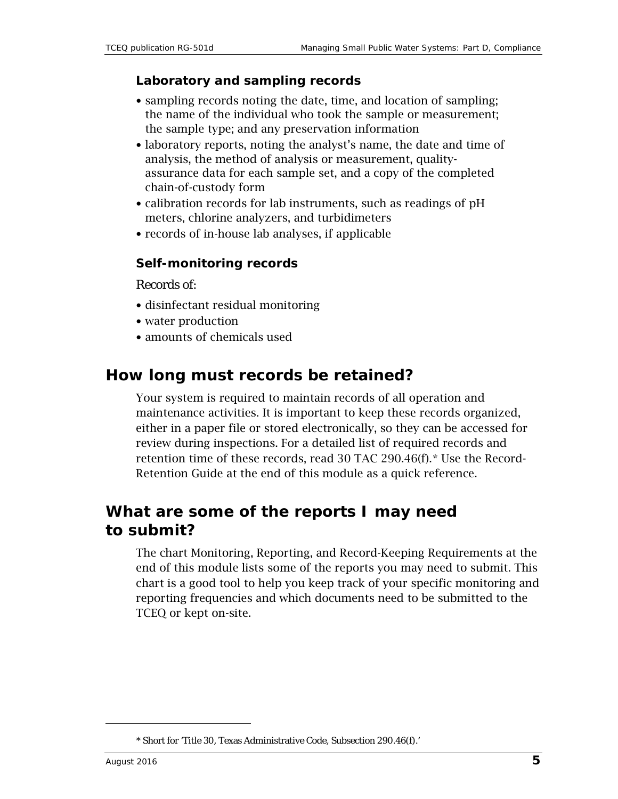#### **Laboratory and sampling records**

- sampling records noting the date, time, and location of sampling; the name of the individual who took the sample or measurement; the sample type; and any preservation information
- laboratory reports, noting the analyst's name, the date and time of analysis, the method of analysis or measurement, qualityassurance data for each sample set, and a copy of the completed chain-of-custody form
- calibration records for lab instruments, such as readings of pH meters, chlorine analyzers, and turbidimeters
- records of in-house lab analyses, if applicable

#### **Self-monitoring records**

Records of:

- disinfectant residual monitoring
- water production
- amounts of chemicals used

#### **How long must records be retained?**

Your system is required to maintain records of all operation and maintenance activities. It is important to keep these records organized, either in a paper file or stored electronically, so they can be accessed for review during inspections. For a detailed list of required records and retention time of these records, read 30 TAC 290.46(f).[\\*](#page-4-0) Use the Record-Retention Guide at the end of this module as a quick reference.

#### **What are some of the reports I may need to submit?**

The chart Monitoring, Reporting, and Record-Keeping Requirements at the end of this module lists some of the reports you may need to submit. This chart is a good tool to help you keep track of your specific monitoring and reporting frequencies and which documents need to be submitted to the TCEQ or kept on-site.

<span id="page-4-0"></span> $\overline{a}$ 

<sup>\*</sup> Short for 'Title 30, Texas Administrative Code, Subsection 290.46(f).'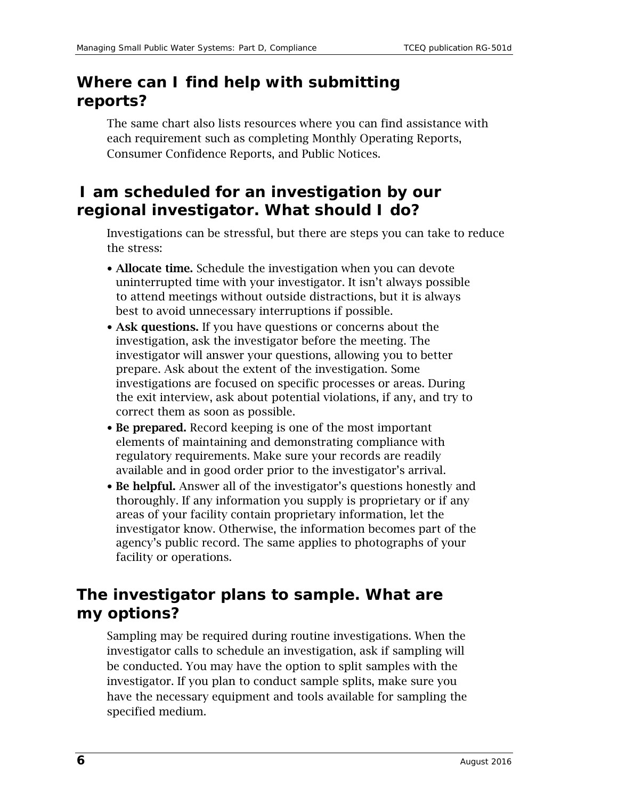#### **Where can I find help with submitting reports?**

The same chart also lists resources where you can find assistance with each requirement such as completing Monthly Operating Reports, Consumer Confidence Reports, and Public Notices.

### **I am scheduled for an investigation by our regional investigator. What should I do?**

Investigations can be stressful, but there are steps you can take to reduce the stress:

- Allocate time. Schedule the investigation when you can devote uninterrupted time with your investigator. It isn't always possible to attend meetings without outside distractions, but it is always best to avoid unnecessary interruptions if possible.
- Ask questions. If you have questions or concerns about the investigation, ask the investigator before the meeting. The investigator will answer your questions, allowing you to better prepare. Ask about the extent of the investigation. Some investigations are focused on specific processes or areas. During the exit interview, ask about potential violations, if any, and try to correct them as soon as possible.
- Be prepared. Record keeping is one of the most important elements of maintaining and demonstrating compliance with regulatory requirements. Make sure your records are readily available and in good order prior to the investigator's arrival.
- Be helpful. Answer all of the investigator's questions honestly and thoroughly. If any information you supply is proprietary or if any areas of your facility contain proprietary information, let the investigator know. Otherwise, the information becomes part of the agency's public record. The same applies to photographs of your facility or operations.

#### **The investigator plans to sample. What are my options?**

Sampling may be required during routine investigations. When the investigator calls to schedule an investigation, ask if sampling will be conducted. You may have the option to split samples with the investigator. If you plan to conduct sample splits, make sure you have the necessary equipment and tools available for sampling the specified medium.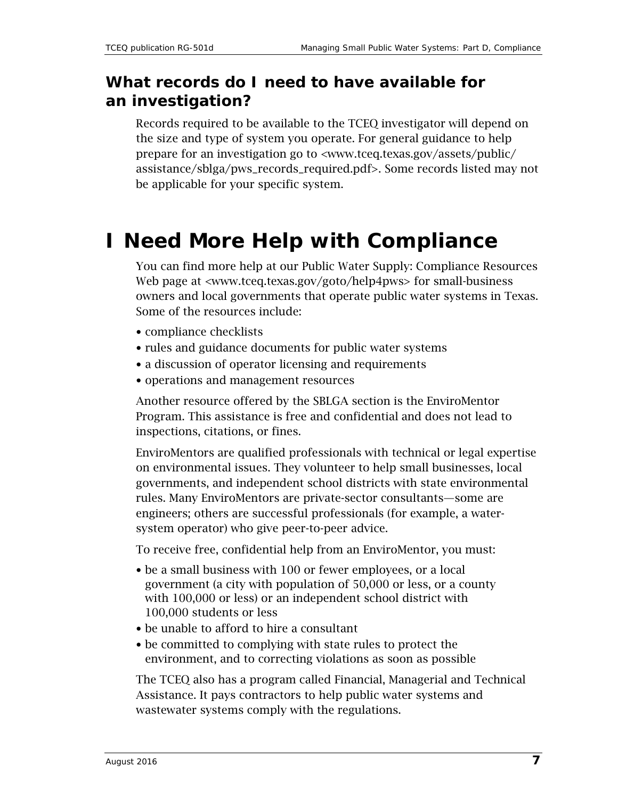#### **What records do I need to have available for an investigation?**

Records required to be available to the TCEQ investigator will depend on the size and type of system you operate. For general guidance to help prepare for an investigation go to [<www.tceq.texas.gov/assets/public/](http://www.tceq.texas.gov/assets/public/assistance/sblga/pws_records_required.pdf) [assistance/sblga/pws\\_records\\_required.pdf>](http://www.tceq.texas.gov/assets/public/assistance/sblga/pws_records_required.pdf). Some records listed may not be applicable for your specific system.

## <span id="page-6-0"></span>**I Need More Help with Compliance**

You can find more help at our Public Water Supply: Compliance Resources Web page at [<www.tceq.texas.gov/goto/help4pws>](http://www.tceq.texas.gov/goto/help4pws) for small-business owners and local governments that operate public water systems in Texas. Some of the resources include:

- compliance checklists
- rules and guidance documents for public water systems
- a discussion of operator licensing and requirements
- operations and management resources

Another resource offered by the SBLGA section is the EnviroMentor Program. This assistance is free and confidential and does not lead to inspections, citations, or fines.

EnviroMentors are qualified professionals with technical or legal expertise on environmental issues. They volunteer to help small businesses, local governments, and independent school districts with state environmental rules. Many EnviroMentors are private-sector consultants—some are engineers; others are successful professionals (for example, a watersystem operator) who give peer-to-peer advice.

To receive free, confidential help from an EnviroMentor, you must:

- be a small business with 100 or fewer employees, or a local government (a city with population of 50,000 or less, or a county with 100,000 or less) or an independent school district with 100,000 students or less
- be unable to afford to hire a consultant
- be committed to complying with state rules to protect the environment, and to correcting violations as soon as possible

The TCEQ also has a program called Financial, Managerial and Technical Assistance. It pays contractors to help public water systems and wastewater systems comply with the regulations.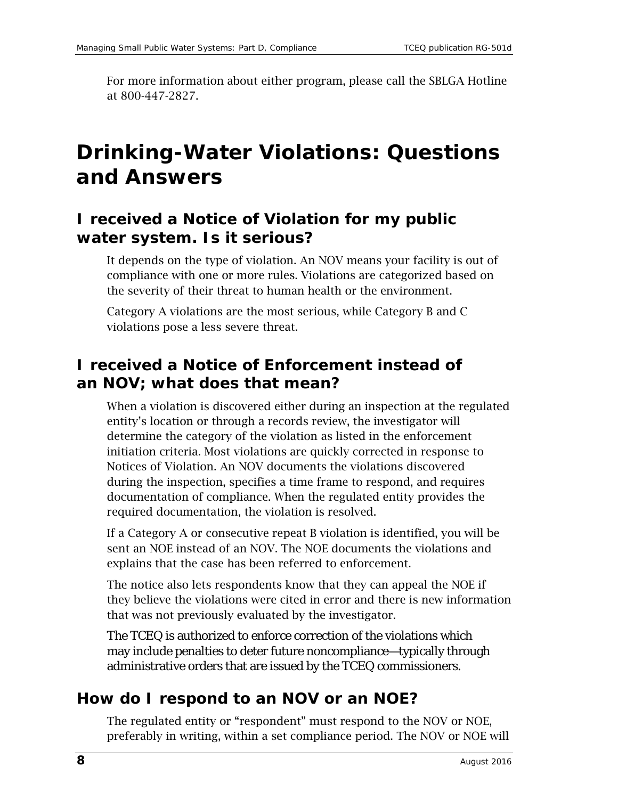For more information about either program, please call the SBLGA Hotline at 800-447-2827.

### <span id="page-7-0"></span>**Drinking-Water Violations: Questions and Answers**

#### **I received a Notice of Violation for my public water system. Is it serious?**

It depends on the type of violation. An NOV means your facility is out of compliance with one or more rules. Violations are categorized based on the severity of their threat to human health or the environment.

Category A violations are the most serious, while Category B and C violations pose a less severe threat.

### **I received a Notice of Enforcement instead of an NOV; what does that mean?**

When a violation is discovered either during an inspection at the regulated entity's location or through a records review, the investigator will determine the category of the violation as listed in the enforcement initiation criteria. Most violations are quickly corrected in response to Notices of Violation. An NOV documents the violations discovered during the inspection, specifies a time frame to respond, and requires documentation of compliance. When the regulated entity provides the required documentation, the violation is resolved.

If a Category A or consecutive repeat B violation is identified, you will be sent an NOE instead of an NOV. The NOE documents the violations and explains that the case has been referred to enforcement.

The notice also lets respondents know that they can appeal the NOE if they believe the violations were cited in error and there is new information that was not previously evaluated by the investigator.

The TCEQ is authorized to enforce correction of the violations which may include penalties to deter future noncompliance—typically through administrative orders that are issued by the TCEQ commissioners.

#### **How do I respond to an NOV or an NOE?**

The regulated entity or "respondent" must respond to the NOV or NOE, preferably in writing, within a set compliance period. The NOV or NOE will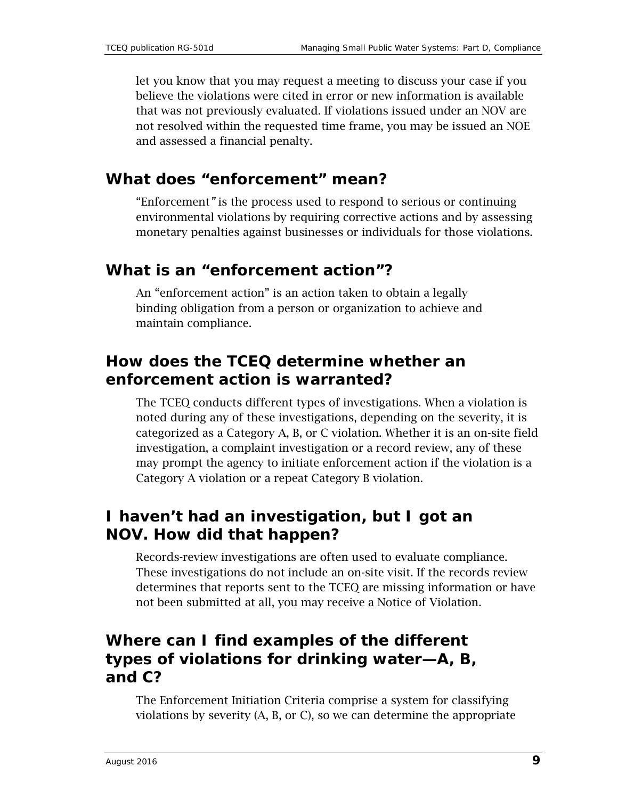let you know that you may request a meeting to discuss your case if you believe the violations were cited in error or new information is available that was not previously evaluated. If violations issued under an NOV are not resolved within the requested time frame, you may be issued an NOE and assessed a financial penalty.

#### **What does "enforcement" mean?**

"Enforcement*"* is the process used to respond to serious or continuing environmental violations by requiring corrective actions and by assessing monetary penalties against businesses or individuals for those violations.

#### **What is an "enforcement action"?**

An "enforcement action" is an action taken to obtain a legally binding obligation from a person or organization to achieve and maintain compliance.

#### **How does the TCEQ determine whether an enforcement action is warranted?**

The TCEQ conducts different types of investigations. When a violation is noted during any of these investigations, depending on the severity, it is categorized as a Category A, B, or C violation. Whether it is an on-site field investigation, a complaint investigation or a record review, any of these may prompt the agency to initiate enforcement action if the violation is a Category A violation or a repeat Category B violation.

#### **I haven't had an investigation, but I got an NOV. How did that happen?**

Records-review investigations are often used to evaluate compliance. These investigations do not include an on-site visit. If the records review determines that reports sent to the TCEQ are missing information or have not been submitted at all, you may receive a Notice of Violation.

#### **Where can I find examples of the different types of violations for drinking water—A, B, and C?**

The Enforcement Initiation Criteria comprise a system for classifying violations by severity (A, B, or C), so we can determine the appropriate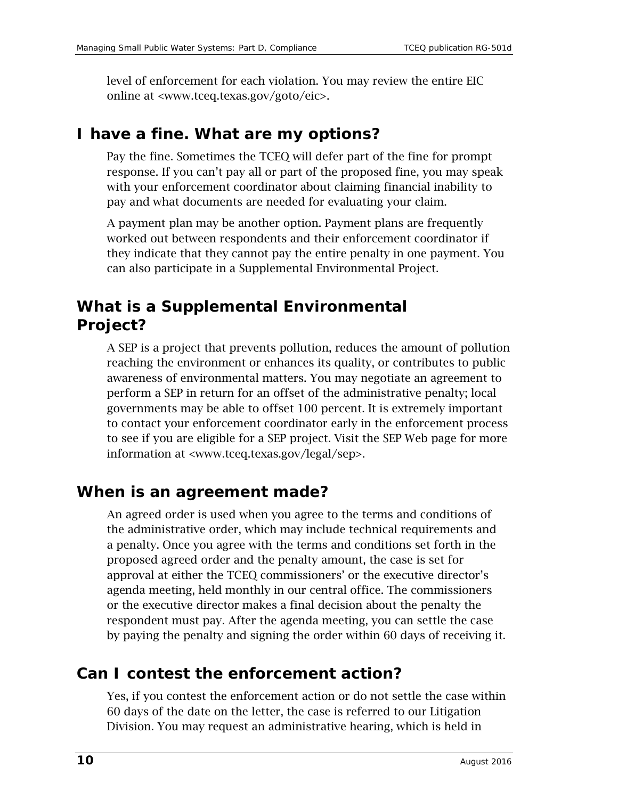level of enforcement for each violation. You may review the entire EIC online at [<www.tceq.texas.gov/goto/eic>](http://www.tceq.texas.gov/goto/eic).

#### **I have a fine. What are my options?**

Pay the fine. Sometimes the TCEQ will defer part of the fine for prompt response. If you can't pay all or part of the proposed fine, you may speak with your enforcement coordinator about claiming financial inability to pay and what documents are needed for evaluating your claim.

A payment plan may be another option. Payment plans are frequently worked out between respondents and their enforcement coordinator if they indicate that they cannot pay the entire penalty in one payment. You can also participate in a Supplemental Environmental Project.

### **What is a Supplemental Environmental Project?**

A SEP is a project that prevents pollution, reduces the amount of pollution reaching the environment or enhances its quality, or contributes to public awareness of environmental matters. You may negotiate an agreement to perform a SEP in return for an offset of the administrative penalty; local governments may be able to offset 100 percent. It is extremely important to contact your enforcement coordinator early in the enforcement process to see if you are eligible for a SEP project. Visit the SEP Web page for more information at [<www.tceq.texas.gov/legal/sep>](https://www.tceq.texas.gov/legal/sep).

#### **When is an agreement made?**

An agreed order is used when you agree to the terms and conditions of the administrative order, which may include technical requirements and a penalty. Once you agree with the terms and conditions set forth in the proposed agreed order and the penalty amount, the case is set for approval at either the TCEQ commissioners' or the executive director's agenda meeting, held monthly in our central office. The commissioners or the executive director makes a final decision about the penalty the respondent must pay. After the agenda meeting, you can settle the case by paying the penalty and signing the order within 60 days of receiving it.

#### **Can I contest the enforcement action?**

Yes, if you contest the enforcement action or do not settle the case within 60 days of the date on the letter, the case is referred to our Litigation Division. You may request an administrative hearing, which is held in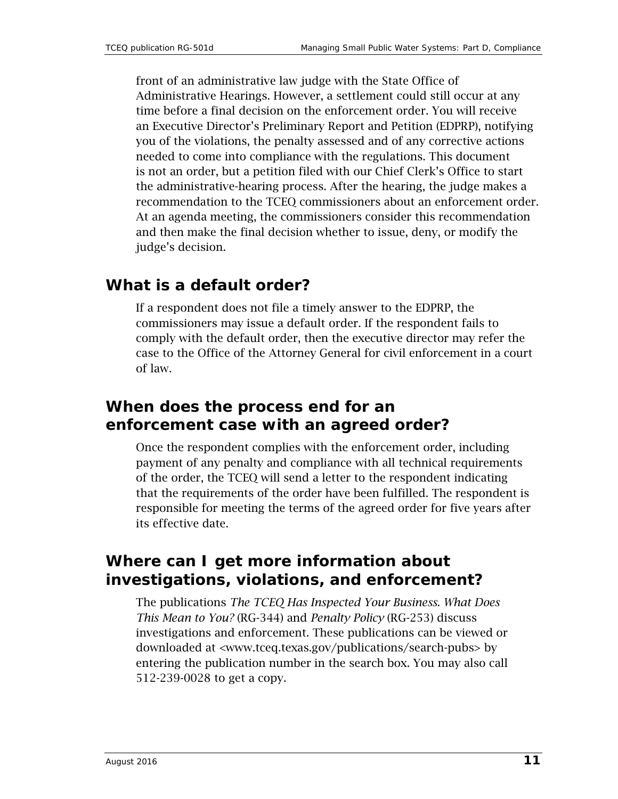front of an administrative law judge with the State Office of Administrative Hearings. However, a settlement could still occur at any time before a final decision on the enforcement order. You will receive an Executive Director's Preliminary Report and Petition (EDPRP), notifying you of the violations, the penalty assessed and of any corrective actions needed to come into compliance with the regulations. This document is not an order, but a petition filed with our Chief Clerk's Office to start the administrative-hearing process. After the hearing, the judge makes a recommendation to the TCEQ commissioners about an enforcement order. At an agenda meeting, the commissioners consider this recommendation and then make the final decision whether to issue, deny, or modify the judge's decision.

#### **What is a default order?**

If a respondent does not file a timely answer to the EDPRP, the commissioners may issue a default order. If the respondent fails to comply with the default order, then the executive director may refer the case to the Office of the Attorney General for civil enforcement in a court of law.

#### **When does the process end for an enforcement case with an agreed order?**

Once the respondent complies with the enforcement order, including payment of any penalty and compliance with all technical requirements of the order, the TCEQ will send a letter to the respondent indicating that the requirements of the order have been fulfilled. The respondent is responsible for meeting the terms of the agreed order for five years after its effective date.

#### **Where can I get more information about investigations, violations, and enforcement?**

The publications *The TCEQ Has Inspected Your Business. What Does This Mean to You?* (RG-344) and *Penalty Policy* (RG-253) discuss investigations and enforcement. These publications can be viewed or downloaded at [<www.tceq.texas.gov/publications/search-pubs>](http://www.tceq.texas.gov/publications/search-pubs) by entering the publication number in the search box. You may also call 512-239-0028 to get a copy.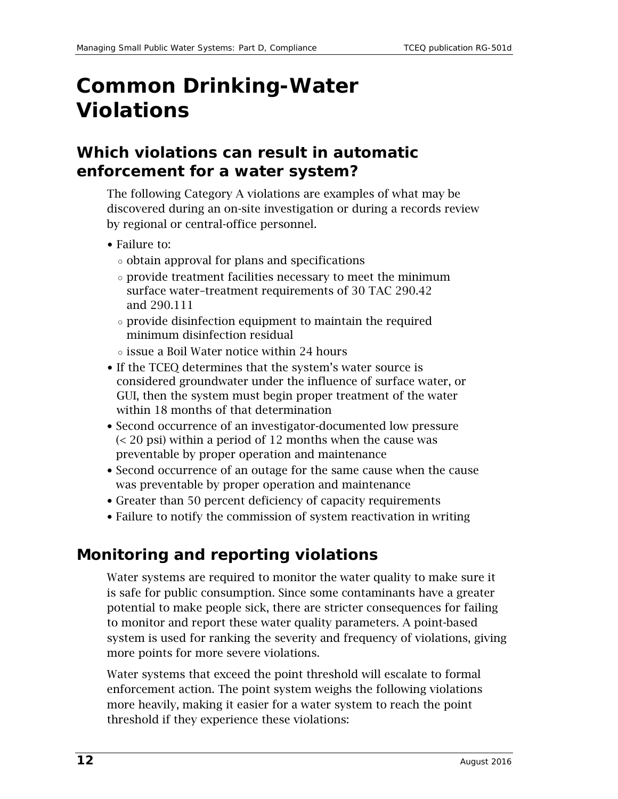## <span id="page-11-0"></span>**Common Drinking-Water Violations**

#### **Which violations can result in automatic enforcement for a water system?**

The following Category A violations are examples of what may be discovered during an on-site investigation or during a records review by regional or central-office personnel.

- Failure to:
	- obtain approval for plans and specifications
	- provide treatment facilities necessary to meet the minimum surface water–treatment requirements of 30 TAC 290.42 and 290.111
	- provide disinfection equipment to maintain the required minimum disinfection residual
	- $\circ$  issue a Boil Water notice within 24 hours
- If the TCEQ determines that the system's water source is considered groundwater under the influence of surface water, or GUI, then the system must begin proper treatment of the water within 18 months of that determination
- Second occurrence of an investigator-documented low pressure (< 20 psi) within a period of 12 months when the cause was preventable by proper operation and maintenance
- Second occurrence of an outage for the same cause when the cause was preventable by proper operation and maintenance
- Greater than 50 percent deficiency of capacity requirements
- Failure to notify the commission of system reactivation in writing

#### **Monitoring and reporting violations**

Water systems are required to monitor the water quality to make sure it is safe for public consumption. Since some contaminants have a greater potential to make people sick, there are stricter consequences for failing to monitor and report these water quality parameters. A point-based system is used for ranking the severity and frequency of violations, giving more points for more severe violations.

Water systems that exceed the point threshold will escalate to formal enforcement action. The point system weighs the following violations more heavily, making it easier for a water system to reach the point threshold if they experience these violations: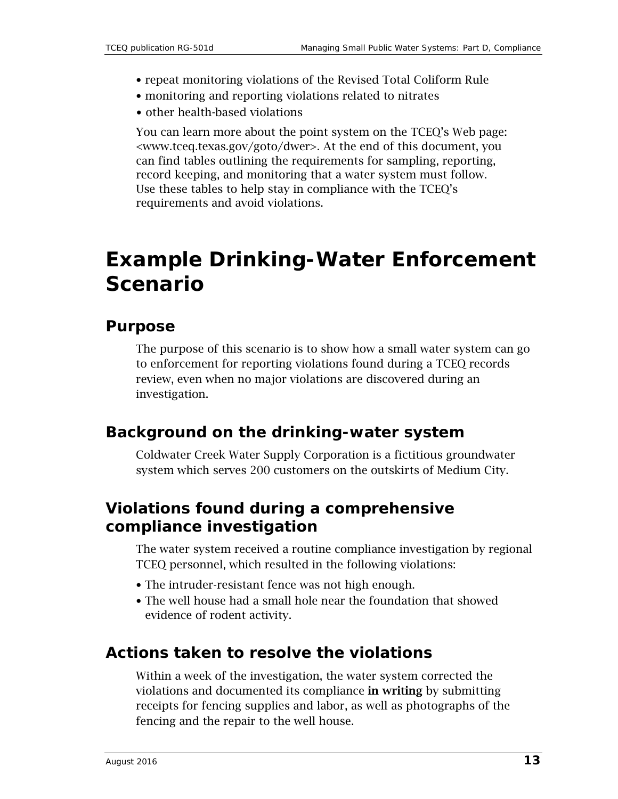- repeat monitoring violations of the Revised Total Coliform Rule
- monitoring and reporting violations related to nitrates
- other health-based violations

You can learn more about the point system on the TCEQ's Web page: [<www.tceq.texas.gov/goto/dwer>](http://www.tceq.texas.gov/goto/dwer). At the end of this document, you can find tables outlining the requirements for sampling, reporting, record keeping, and monitoring that a water system must follow. Use these tables to help stay in compliance with the TCEQ's requirements and avoid violations.

### <span id="page-12-0"></span>**Example Drinking-Water Enforcement Scenario**

#### **Purpose**

The purpose of this scenario is to show how a small water system can go to enforcement for reporting violations found during a TCEQ records review, even when no major violations are discovered during an investigation.

#### **Background on the drinking-water system**

Coldwater Creek Water Supply Corporation is a fictitious groundwater system which serves 200 customers on the outskirts of Medium City.

#### **Violations found during a comprehensive compliance investigation**

The water system received a routine compliance investigation by regional TCEQ personnel, which resulted in the following violations:

- The intruder-resistant fence was not high enough.
- The well house had a small hole near the foundation that showed evidence of rodent activity.

#### **Actions taken to resolve the violations**

Within a week of the investigation, the water system corrected the violations and documented its compliance in writing by submitting receipts for fencing supplies and labor, as well as photographs of the fencing and the repair to the well house.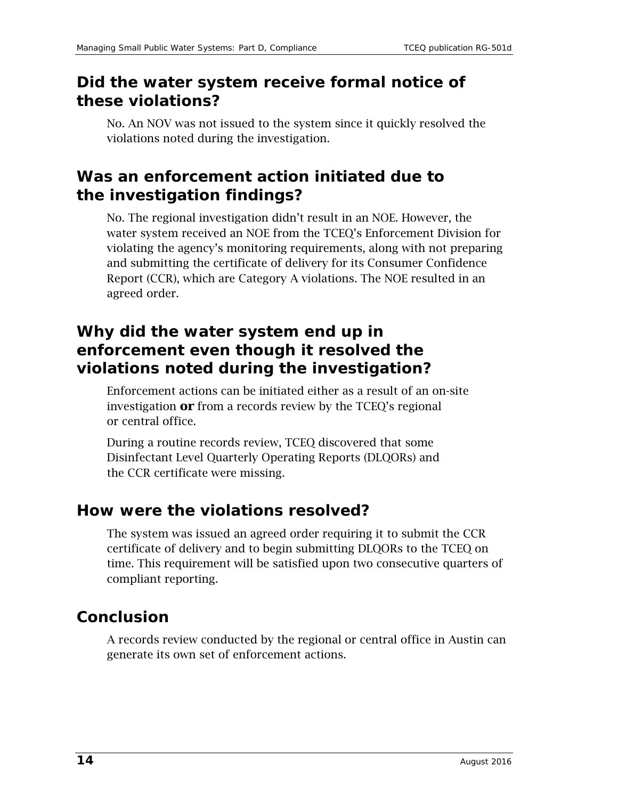#### **Did the water system receive formal notice of these violations?**

No. An NOV was not issued to the system since it quickly resolved the violations noted during the investigation.

#### **Was an enforcement action initiated due to the investigation findings?**

No. The regional investigation didn't result in an NOE. However, the water system received an NOE from the TCEQ's Enforcement Division for violating the agency's monitoring requirements, along with not preparing and submitting the certificate of delivery for its Consumer Confidence Report (CCR), which are Category A violations. The NOE resulted in an agreed order.

#### **Why did the water system end up in enforcement even though it resolved the violations noted during the investigation?**

Enforcement actions can be initiated either as a result of an on-site investigation **or** from a records review by the TCEQ's regional or central office.

During a routine records review, TCEQ discovered that some Disinfectant Level Quarterly Operating Reports (DLQORs) and the CCR certificate were missing.

#### **How were the violations resolved?**

The system was issued an agreed order requiring it to submit the CCR certificate of delivery and to begin submitting DLQORs to the TCEQ on time. This requirement will be satisfied upon two consecutive quarters of compliant reporting.

### **Conclusion**

A records review conducted by the regional or central office in Austin can generate its own set of enforcement actions.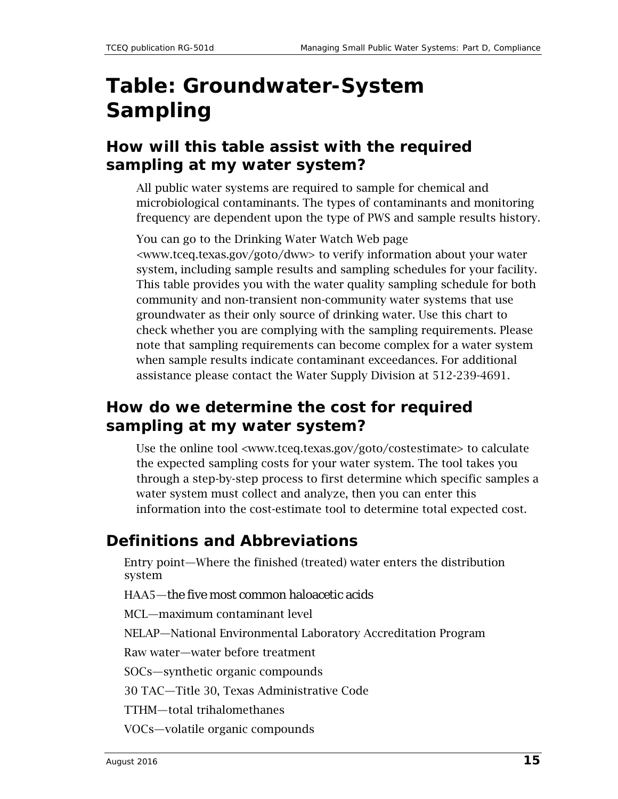## <span id="page-14-0"></span>**Table: Groundwater-System Sampling**

#### **How will this table assist with the required sampling at my water system?**

All public water systems are required to sample for chemical and microbiological contaminants. The types of contaminants and monitoring frequency are dependent upon the type of PWS and sample results history.

You can go to the Drinking Water Watch Web page [<www.tceq.texas.gov/goto/dww>](http://www.tceq.texas.gov/goto/dww) to verify information about your water system, including sample results and sampling schedules for your facility. This table provides you with the water quality sampling schedule for both community and non-transient non-community water systems that use groundwater as their only source of drinking water. Use this chart to check whether you are complying with the sampling requirements. Please note that sampling requirements can become complex for a water system when sample results indicate contaminant exceedances. For additional assistance please contact the Water Supply Division at 512-239-4691.

### **How do we determine the cost for required sampling at my water system?**

Use the online tool [<www.tceq.texas.gov/goto/costestimate>](http://www.tceq.texas.gov/goto/costestimate) to calculate the expected sampling costs for your water system. The tool takes you through a step-by-step process to first determine which specific samples a water system must collect and analyze, then you can enter this information into the cost-estimate tool to determine total expected cost.

#### **Definitions and Abbreviations**

Entry point—Where the finished (treated) water enters the distribution system

HAA5—the five most common haloacetic acids

MCL—maximum contaminant level

NELAP—National Environmental Laboratory Accreditation Program

Raw water—water before treatment

SOCs—synthetic organic compounds

30 TAC—Title 30, Texas Administrative Code

TTHM—total trihalomethanes

VOCs—volatile organic compounds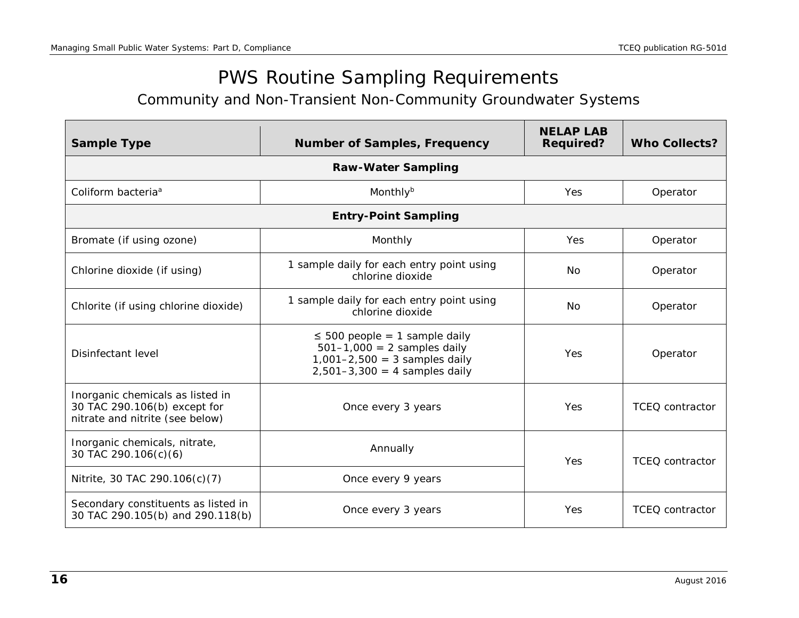### <span id="page-15-2"></span>PWS Routine Sampling Requirements

<span id="page-15-1"></span>Community and Non-Transient Non-Community Groundwater Systems

<span id="page-15-0"></span>

| <b>Sample Type</b>                                                                                  | <b>Number of Samples, Frequency</b>                                                                                                         | <b>NELAP LAB</b><br><b>Required?</b> | <b>Who Collects?</b>   |  |  |  |  |  |  |
|-----------------------------------------------------------------------------------------------------|---------------------------------------------------------------------------------------------------------------------------------------------|--------------------------------------|------------------------|--|--|--|--|--|--|
| <b>Raw-Water Sampling</b>                                                                           |                                                                                                                                             |                                      |                        |  |  |  |  |  |  |
| Coliform bacteria <sup>a</sup>                                                                      | Monthly $b$                                                                                                                                 | Yes                                  | Operator               |  |  |  |  |  |  |
|                                                                                                     | <b>Entry-Point Sampling</b>                                                                                                                 |                                      |                        |  |  |  |  |  |  |
| Bromate (if using ozone)                                                                            | Monthly                                                                                                                                     | <b>Yes</b>                           | Operator               |  |  |  |  |  |  |
| Chlorine dioxide (if using)                                                                         | 1 sample daily for each entry point using<br>chlorine dioxide                                                                               | N <sub>o</sub>                       | Operator               |  |  |  |  |  |  |
| Chlorite (if using chlorine dioxide)                                                                | 1 sample daily for each entry point using<br>chlorine dioxide                                                                               | No                                   | Operator               |  |  |  |  |  |  |
| Disinfectant level                                                                                  | $\leq$ 500 people = 1 sample daily<br>$501 - 1,000 = 2$ samples daily<br>$1,001-2,500 = 3$ samples daily<br>$2,501-3,300 = 4$ samples daily | Yes                                  | Operator               |  |  |  |  |  |  |
| Inorganic chemicals as listed in<br>30 TAC 290.106(b) except for<br>nitrate and nitrite (see below) | Once every 3 years                                                                                                                          | Yes                                  | TCEQ contractor        |  |  |  |  |  |  |
| Inorganic chemicals, nitrate,<br>30 TAC 290.106(c)(6)                                               | Annually                                                                                                                                    |                                      | TCEQ contractor        |  |  |  |  |  |  |
| Nitrite, 30 TAC 290.106(c)(7)                                                                       | Once every 9 years                                                                                                                          |                                      |                        |  |  |  |  |  |  |
| Secondary constituents as listed in<br>30 TAC 290.105(b) and 290.118(b)                             | Once every 3 years                                                                                                                          | <b>Yes</b>                           | <b>TCEO</b> contractor |  |  |  |  |  |  |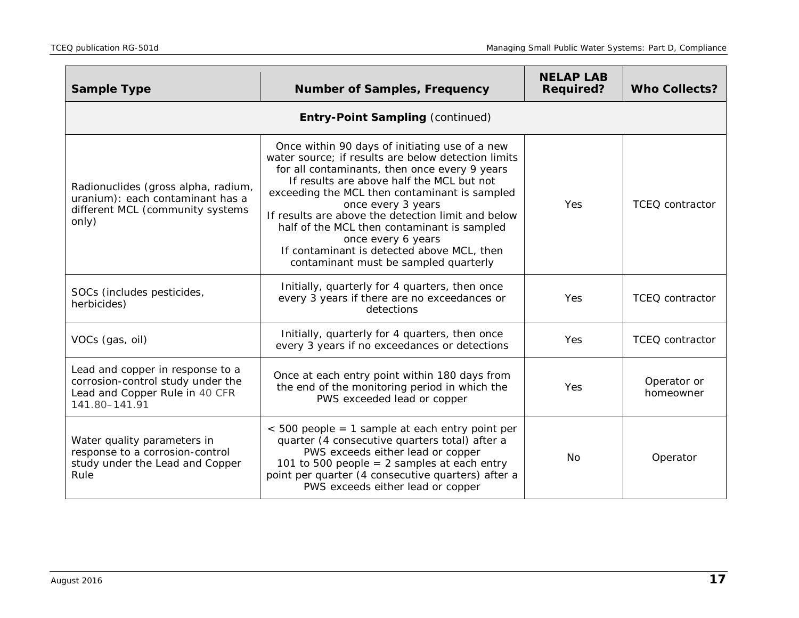| <b>Sample Type</b>                                                                                                       | <b>Number of Samples, Frequency</b>                                                                                                                                                                                                                                                                                                                                                                                                                                                          | <b>NELAP LAB</b><br><b>Required?</b> | <b>Who Collects?</b>     |
|--------------------------------------------------------------------------------------------------------------------------|----------------------------------------------------------------------------------------------------------------------------------------------------------------------------------------------------------------------------------------------------------------------------------------------------------------------------------------------------------------------------------------------------------------------------------------------------------------------------------------------|--------------------------------------|--------------------------|
|                                                                                                                          | <b>Entry-Point Sampling (continued)</b>                                                                                                                                                                                                                                                                                                                                                                                                                                                      |                                      |                          |
| Radionuclides (gross alpha, radium,<br>uranium): each contaminant has a<br>different MCL (community systems<br>only)     | Once within 90 days of initiating use of a new<br>water source; if results are below detection limits<br>for all contaminants, then once every 9 years<br>If results are above half the MCL but not<br>exceeding the MCL then contaminant is sampled<br>once every 3 years<br>If results are above the detection limit and below<br>half of the MCL then contaminant is sampled<br>once every 6 years<br>If contaminant is detected above MCL, then<br>contaminant must be sampled quarterly | Yes                                  | <b>TCEQ</b> contractor   |
| SOCs (includes pesticides,<br>herbicides)                                                                                | Initially, quarterly for 4 quarters, then once<br>every 3 years if there are no exceedances or<br>detections                                                                                                                                                                                                                                                                                                                                                                                 | <b>Yes</b>                           | TCEQ contractor          |
| VOCs (gas, oil)                                                                                                          | Initially, quarterly for 4 quarters, then once<br>every 3 years if no exceedances or detections                                                                                                                                                                                                                                                                                                                                                                                              | Yes                                  | <b>TCEQ</b> contractor   |
| Lead and copper in response to a<br>corrosion-control study under the<br>Lead and Copper Rule in 40 CFR<br>141.80-141.91 | Once at each entry point within 180 days from<br>the end of the monitoring period in which the<br>PWS exceeded lead or copper                                                                                                                                                                                                                                                                                                                                                                | Yes                                  | Operator or<br>homeowner |
| Water quality parameters in<br>response to a corrosion-control<br>study under the Lead and Copper<br>Rule                | $<$ 500 people = 1 sample at each entry point per<br>quarter (4 consecutive quarters total) after a<br>PWS exceeds either lead or copper<br>101 to 500 people = $2$ samples at each entry<br>point per quarter (4 consecutive quarters) after a<br>PWS exceeds either lead or copper                                                                                                                                                                                                         | No                                   | Operator                 |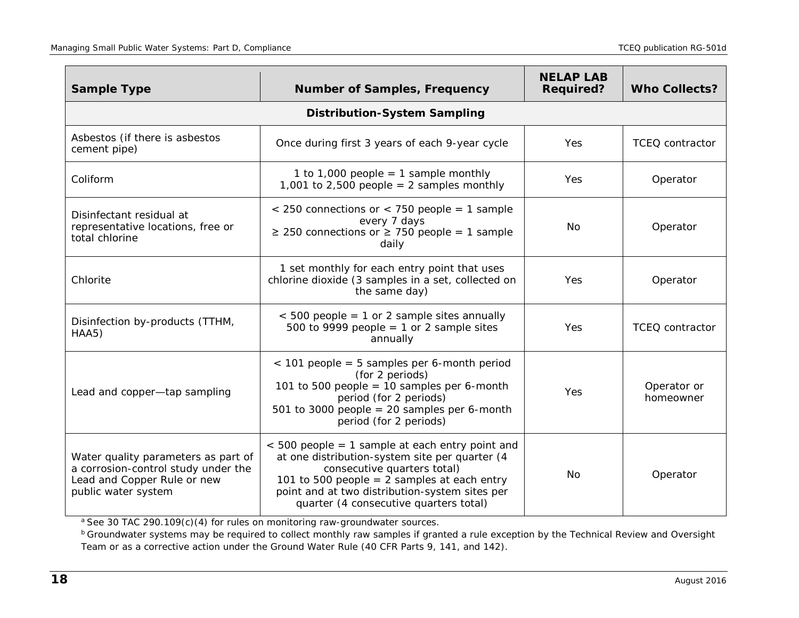| <b>Sample Type</b>                                                                                                               | <b>Number of Samples, Frequency</b>                                                                                                                                                                                                                                             | <b>NELAP LAB</b><br><b>Required?</b> | <b>Who Collects?</b>     |
|----------------------------------------------------------------------------------------------------------------------------------|---------------------------------------------------------------------------------------------------------------------------------------------------------------------------------------------------------------------------------------------------------------------------------|--------------------------------------|--------------------------|
|                                                                                                                                  | <b>Distribution-System Sampling</b>                                                                                                                                                                                                                                             |                                      |                          |
| Asbestos (if there is asbestos<br>cement pipe)                                                                                   | Once during first 3 years of each 9-year cycle                                                                                                                                                                                                                                  | <b>Yes</b>                           | <b>TCEQ</b> contractor   |
| Coliform                                                                                                                         | 1 to 1,000 people = 1 sample monthly<br>1,001 to 2,500 people = 2 samples monthly                                                                                                                                                                                               | Yes                                  | Operator                 |
| Disinfectant residual at<br>representative locations, free or<br>total chlorine                                                  | $<$ 250 connections or $<$ 750 people = 1 sample<br>every 7 days<br>$\geq$ 250 connections or $\geq$ 750 people = 1 sample<br>daily                                                                                                                                             | No                                   | Operator                 |
| Chlorite                                                                                                                         | 1 set monthly for each entry point that uses<br>chlorine dioxide (3 samples in a set, collected on<br>the same day)                                                                                                                                                             | <b>Yes</b>                           | Operator                 |
| Disinfection by-products (TTHM,<br>HAA5)                                                                                         | $<$ 500 people = 1 or 2 sample sites annually<br>500 to 9999 people = 1 or 2 sample sites<br>annually                                                                                                                                                                           | <b>Yes</b>                           | <b>TCEQ</b> contractor   |
| Lead and copper-tap sampling                                                                                                     | $<$ 101 people = 5 samples per 6-month period<br>(for 2 periods)<br>101 to 500 people = 10 samples per 6-month<br>period (for 2 periods)<br>501 to 3000 people = 20 samples per 6-month<br>period (for 2 periods)                                                               | Yes                                  | Operator or<br>homeowner |
| Water quality parameters as part of<br>a corrosion-control study under the<br>Lead and Copper Rule or new<br>public water system | $<$ 500 people = 1 sample at each entry point and<br>at one distribution-system site per quarter (4<br>consecutive quarters total)<br>101 to 500 people = $2$ samples at each entry<br>point and at two distribution-system sites per<br>quarter (4 consecutive quarters total) | No                                   | Operator                 |

*<sup>a</sup>* See 30 TAC 290.109(c)(4) for rules on monitoring raw-groundwater source[s.](#page-15-1)

*b* Groundwater systems may be required to collect monthly raw samples if granted a rule exception by the Technical Review and Oversight Team or as a corrective action under the Ground Water Rule (40 CFR Parts 9, 141, and 142[\).](#page-15-2)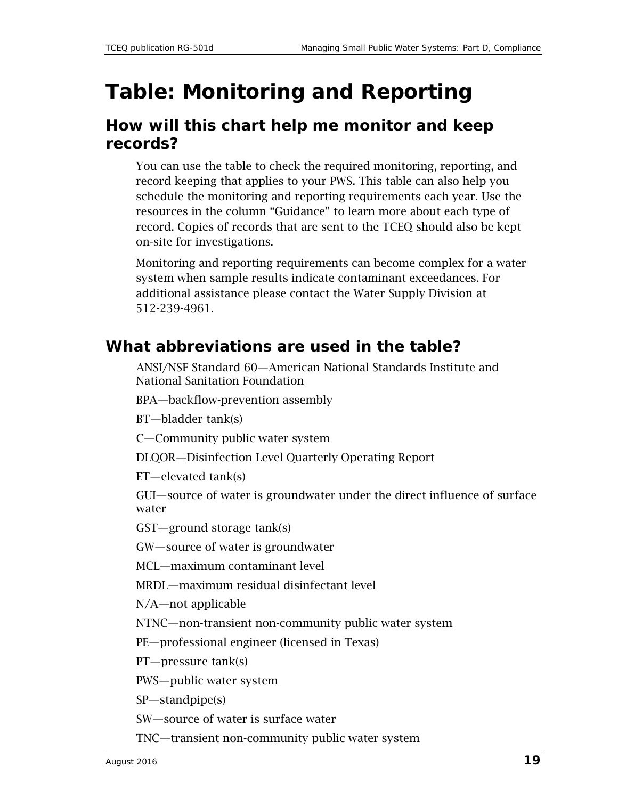## <span id="page-18-0"></span>**Table: Monitoring and Reporting**

#### **How will this chart help me monitor and keep records?**

You can use the table to check the required monitoring, reporting, and record keeping that applies to your PWS. This table can also help you schedule the monitoring and reporting requirements each year. Use the resources in the column "Guidance" to learn more about each type of record. Copies of records that are sent to the TCEQ should also be kept on-site for investigations.

Monitoring and reporting requirements can become complex for a water system when sample results indicate contaminant exceedances. For additional assistance please contact the Water Supply Division at 512-239-4961.

#### **What abbreviations are used in the table?**

ANSI/NSF Standard 60—American National Standards Institute and National Sanitation Foundation

BPA—backflow-prevention assembly

BT—bladder tank(s)

C—Community public water system

DLQOR—Disinfection Level Quarterly Operating Report

ET—elevated tank(s)

GUI—source of water is groundwater under the direct influence of surface water

GST—ground storage tank(s)

GW—source of water is groundwater

MCL—maximum contaminant level

MRDL—maximum residual disinfectant level

N/A—not applicable

NTNC—non-transient non-community public water system

PE—professional engineer (licensed in Texas)

PT—pressure tank(s)

PWS—public water system

SP—standpipe(s)

SW—source of water is surface water

TNC—transient non-community public water system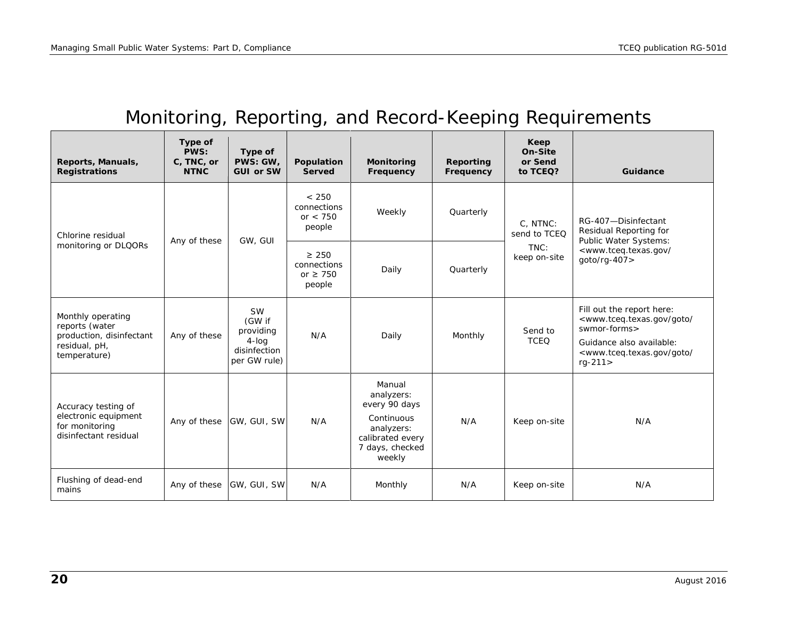### Monitoring, Reporting, and Record-Keeping Requirements

<span id="page-19-0"></span>

| Reports, Manuals,<br><b>Registrations</b>                                                        | Type of<br>PWS:<br>C, TNC, or<br><b>NTNC</b> | Type of<br>PWS: GW.<br><b>GUI or SW</b>                                      | Population<br><b>Served</b>                          | Monitoring<br>Frequency                                                                                            | Reporting<br>Frequency | Keep<br>On-Site<br>or Send<br>to TCEQ? | Guidance                                                                                                                                                                                                            |
|--------------------------------------------------------------------------------------------------|----------------------------------------------|------------------------------------------------------------------------------|------------------------------------------------------|--------------------------------------------------------------------------------------------------------------------|------------------------|----------------------------------------|---------------------------------------------------------------------------------------------------------------------------------------------------------------------------------------------------------------------|
| Chlorine residual                                                                                |                                              |                                                                              | < 250<br>connections<br>or $< 750$<br>people         | Weekly                                                                                                             | Quarterly              | C. NTNC:<br>send to TCEQ               | RG-407-Disinfectant<br>Residual Reporting for                                                                                                                                                                       |
| monitoring or DLQORs                                                                             | Any of these                                 | GW, GUI                                                                      | $\geq 250$<br>connections<br>or $\geq 750$<br>people | Daily                                                                                                              | Quarterly              | TNC:<br>keep on-site                   | Public Water Systems:<br><www.tceq.texas.gov <br="">goto/rg-407&gt;</www.tceq.texas.gov>                                                                                                                            |
| Monthly operating<br>reports (water<br>production, disinfectant<br>residual, pH,<br>temperature) | Any of these                                 | <b>SW</b><br>(GW if<br>providing<br>$4$ -log<br>disinfection<br>per GW rule) | N/A                                                  | Daily                                                                                                              | Monthly                | Send to<br><b>TCEQ</b>                 | Fill out the report here:<br><www.tceq.texas.gov <br="" goto="">swmor-forms&gt;<br/>Guidance also available:<br/><www.tceq.texas.gov <br="" goto=""><math>rq - 211</math></www.tceq.texas.gov></www.tceq.texas.gov> |
| Accuracy testing of<br>electronic equipment<br>for monitoring<br>disinfectant residual           | Any of these                                 | GW, GUI, SW                                                                  | N/A                                                  | Manual<br>analyzers:<br>every 90 days<br>Continuous<br>analyzers:<br>calibrated every<br>7 days, checked<br>weekly | N/A                    | Keep on-site                           | N/A                                                                                                                                                                                                                 |
| Flushing of dead-end<br>mains                                                                    | Any of these                                 | GW, GUI, SW                                                                  | N/A                                                  | Monthly                                                                                                            | N/A                    | Keep on-site                           | N/A                                                                                                                                                                                                                 |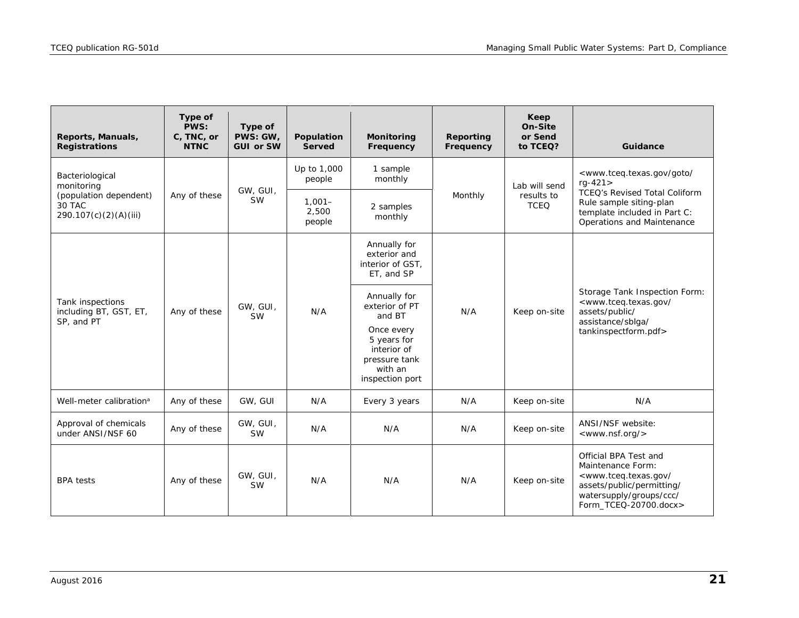<span id="page-20-0"></span>

| Reports, Manuals,<br><b>Registrations</b>                 | Type of<br>PWS:<br>C, TNC, or<br><b>NTNC</b> | Type of<br>PWS: GW,<br><b>GUI or SW</b> | Population<br><b>Served</b>  | Monitoring<br>Frequency                                                                 | <b>Reporting</b><br>Frequency | Keep<br>On-Site<br>or Send<br>to TCEQ? | Guidance                                                                                                                                                                         |
|-----------------------------------------------------------|----------------------------------------------|-----------------------------------------|------------------------------|-----------------------------------------------------------------------------------------|-------------------------------|----------------------------------------|----------------------------------------------------------------------------------------------------------------------------------------------------------------------------------|
| Bacteriological<br>monitoring                             |                                              |                                         | Up to 1,000<br>people        | 1 sample<br>monthly                                                                     |                               | Lab will send                          | <www.tceq.texas.gov <br="" goto=""><math>rq-421&gt;</math></www.tceq.texas.gov>                                                                                                  |
| (population dependent)<br>30 TAC<br>290.107(c)(2)(A)(iii) | Any of these                                 | GW, GUI,<br><b>SW</b>                   | $1.001 -$<br>2,500<br>people | 2 samples<br>monthly                                                                    | Monthly                       | results to<br><b>TCEQ</b>              | TCEQ's Revised Total Coliform<br>Rule sample siting-plan<br>template included in Part C:<br>Operations and Maintenance                                                           |
|                                                           |                                              |                                         |                              | Annually for<br>exterior and<br>interior of GST.<br>ET, and SP                          |                               |                                        | Storage Tank Inspection Form:<br><www.tceq.texas.gov <br="">assets/public/<br/>assistance/sblga/</www.tceq.texas.gov>                                                            |
| Tank inspections<br>including BT, GST, ET,<br>SP, and PT  | Any of these                                 | GW, GUI,<br><b>SW</b>                   | N/A                          | Annually for<br>exterior of PT<br>and BT                                                | N/A                           | Keep on-site                           |                                                                                                                                                                                  |
|                                                           |                                              |                                         |                              | Once every<br>5 years for<br>interior of<br>pressure tank<br>with an<br>inspection port |                               |                                        | tankinspectform.pdf>                                                                                                                                                             |
| Well-meter calibration <sup>a</sup>                       | Any of these                                 | GW, GUI                                 | N/A                          | Every 3 years                                                                           | N/A                           | Keep on-site                           | N/A                                                                                                                                                                              |
| Approval of chemicals<br>under ANSI/NSF 60                | Any of these                                 | GW, GUI,<br><b>SW</b>                   | N/A                          | N/A                                                                                     | N/A                           | Keep on-site                           | ANSI/NSF website:<br><www.nsf.org></www.nsf.org>                                                                                                                                 |
| <b>BPA</b> tests                                          | Any of these                                 | GW, GUI,<br><b>SW</b>                   | N/A                          | N/A                                                                                     | N/A                           | Keep on-site                           | Official BPA Test and<br>Maintenance Form:<br><www.tceq.texas.gov <br="">assets/public/permitting/<br/>watersupply/groups/ccc/<br/>Form TCEQ-20700.docx&gt;</www.tceq.texas.gov> |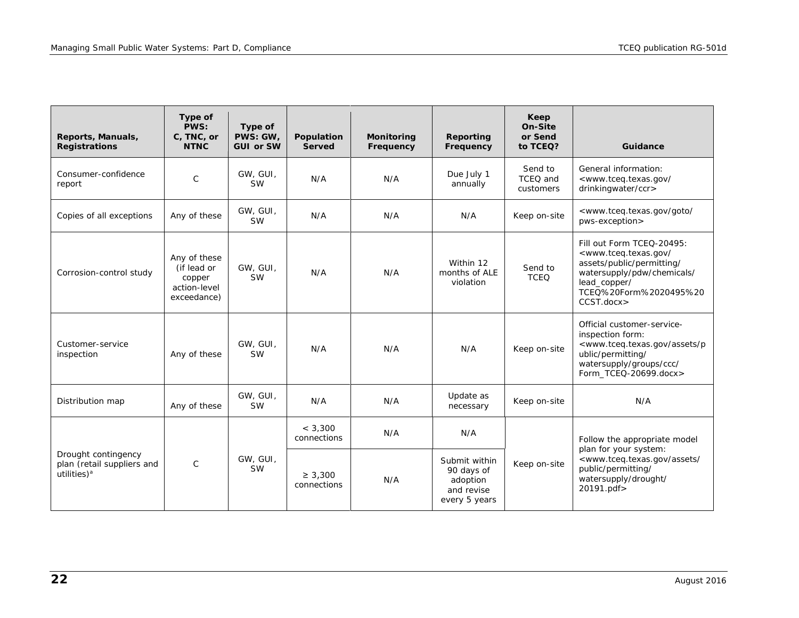| Reports, Manuals,<br><b>Registrations</b>                                    | Type of<br>PWS:<br>C, TNC, or<br><b>NTNC</b>                         | Type of<br>PWS: GW,<br><b>GUI or SW</b> | Population<br><b>Served</b> | <b>Monitoring</b><br>Frequency | Reporting<br>Frequency                                                 | Keep<br>On-Site<br>or Send<br>to TCEQ? | Guidance                                                                                                                                                                                            |
|------------------------------------------------------------------------------|----------------------------------------------------------------------|-----------------------------------------|-----------------------------|--------------------------------|------------------------------------------------------------------------|----------------------------------------|-----------------------------------------------------------------------------------------------------------------------------------------------------------------------------------------------------|
| Consumer-confidence<br>report                                                | $\mathsf{C}$                                                         | GW, GUI,<br><b>SW</b>                   | N/A                         | N/A                            | Due July 1<br>annually                                                 | Send to<br>TCEQ and<br>customers       | General information:<br><www.tceq.texas.gov <br="">drinkingwater/ccr&gt;</www.tceq.texas.gov>                                                                                                       |
| Copies of all exceptions                                                     | Any of these                                                         | GW, GUI,<br><b>SW</b>                   | N/A                         | N/A                            | N/A                                                                    | Keep on-site                           | <www.tceq.texas.gov <br="" goto="">pws-exception&gt;</www.tceq.texas.gov>                                                                                                                           |
| Corrosion-control study                                                      | Any of these<br>(if lead or<br>copper<br>action-level<br>exceedance) | GW. GUI.<br><b>SW</b>                   | N/A                         | N/A                            | Within 12<br>months of ALE<br>violation                                | Send to<br><b>TCEO</b>                 | Fill out Form TCEQ-20495:<br><www.tceg.texas.gov <br="">assets/public/permitting/<br/>watersupply/pdw/chemicals/<br/>lead copper/<br/>TCEO%20Form%2020495%20<br/>CCST.docx&gt;</www.tceg.texas.gov> |
| Customer-service<br>inspection                                               | Any of these                                                         | GW, GUI,<br><b>SW</b>                   | N/A                         | N/A                            | N/A                                                                    | Keep on-site                           | Official customer-service-<br>inspection form:<br><www.tceq.texas.gov assets="" p<br="">ublic/permitting/<br/>watersupply/groups/ccc/<br/>Form TCEQ-20699.docx&gt;</www.tceq.texas.gov>             |
| Distribution map                                                             | Any of these                                                         | GW, GUI,<br><b>SW</b>                   | N/A                         | N/A                            | Update as<br>necessary                                                 | Keep on-site                           | N/A                                                                                                                                                                                                 |
|                                                                              |                                                                      |                                         | < 3.300<br>connections      | N/A                            | N/A                                                                    |                                        | Follow the appropriate model<br>plan for your system:                                                                                                                                               |
| Drought contingency<br>plan (retail suppliers and<br>utilities) <sup>a</sup> | $\mathsf{C}$                                                         | GW, GUI,<br><b>SW</b>                   | $\geq 3,300$<br>connections | N/A                            | Submit within<br>90 days of<br>adoption<br>and revise<br>every 5 years | Keep on-site                           | <www.tceq.texas.gov <br="" assets="">public/permitting/<br/>watersupply/drought/<br/>20191.pdf&gt;</www.tceq.texas.gov>                                                                             |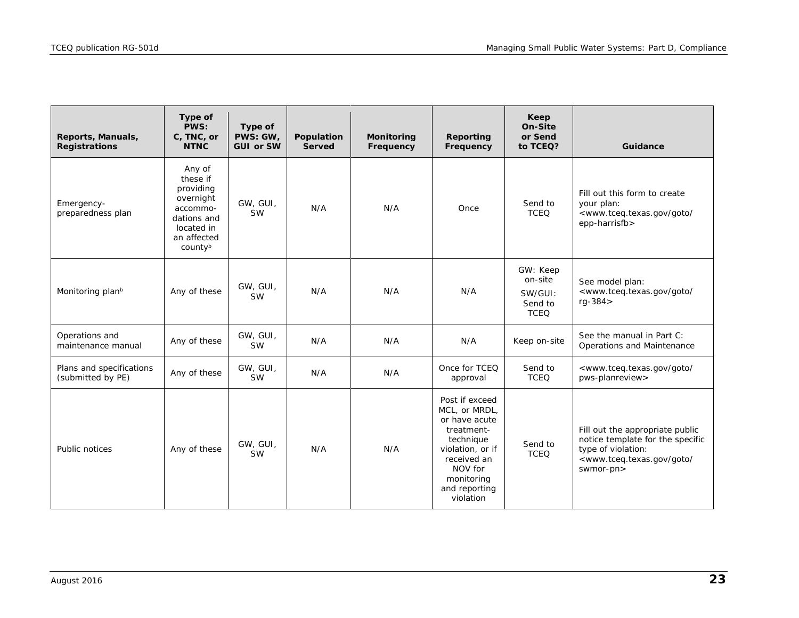<span id="page-22-0"></span>

| Reports, Manuals,<br><b>Registrations</b>     | Type of<br>PWS:<br>C, TNC, or<br><b>NTNC</b>                                                                    | Type of<br>PWS: GW,<br><b>GUI or SW</b> | Population<br><b>Served</b> | <b>Monitoring</b><br>Frequency | Reporting<br>Frequency                                                                                                                                                | Keep<br>On-Site<br>or Send<br>to TCEQ?                   | Guidance                                                                                                                                                          |
|-----------------------------------------------|-----------------------------------------------------------------------------------------------------------------|-----------------------------------------|-----------------------------|--------------------------------|-----------------------------------------------------------------------------------------------------------------------------------------------------------------------|----------------------------------------------------------|-------------------------------------------------------------------------------------------------------------------------------------------------------------------|
| Emergency-<br>preparedness plan               | Any of<br>these if<br>providing<br>overnight<br>accommo-<br>dations and<br>located in<br>an affected<br>countyb | GW, GUI,<br><b>SW</b>                   | N/A                         | N/A                            | Once                                                                                                                                                                  | Send to<br><b>TCEQ</b>                                   | Fill out this form to create<br>your plan:<br><www.tceq.texas.gov <br="" goto="">epp-harrisfb&gt;</www.tceq.texas.gov>                                            |
| Monitoring plan <sup>b</sup>                  | Any of these                                                                                                    | GW, GUI,<br><b>SW</b>                   | N/A                         | N/A                            | N/A                                                                                                                                                                   | GW: Keep<br>on-site<br>SW/GUI:<br>Send to<br><b>TCEQ</b> | See model plan:<br><www.tceq.texas.gov <br="" goto=""><math>rq - 384</math></www.tceq.texas.gov>                                                                  |
| Operations and<br>maintenance manual          | Any of these                                                                                                    | GW, GUI,<br><b>SW</b>                   | N/A                         | N/A                            | N/A                                                                                                                                                                   | Keep on-site                                             | See the manual in Part C:<br>Operations and Maintenance                                                                                                           |
| Plans and specifications<br>(submitted by PE) | Any of these                                                                                                    | GW, GUI,<br><b>SW</b>                   | N/A                         | N/A                            | Once for TCEQ<br>approval                                                                                                                                             | Send to<br><b>TCEQ</b>                                   | <www.tceq.texas.gov <br="" goto="">pws-planreview&gt;</www.tceq.texas.gov>                                                                                        |
| Public notices                                | Any of these                                                                                                    | GW, GUI,<br><b>SW</b>                   | N/A                         | N/A                            | Post if exceed<br>MCL, or MRDL,<br>or have acute<br>treatment-<br>technique<br>violation, or if<br>received an<br>NOV for<br>monitoring<br>and reporting<br>violation | Send to<br><b>TCEQ</b>                                   | Fill out the appropriate public<br>notice template for the specific<br>type of violation:<br><www.tceq.texas.gov <br="" goto="">swmor-pn&gt;</www.tceq.texas.gov> |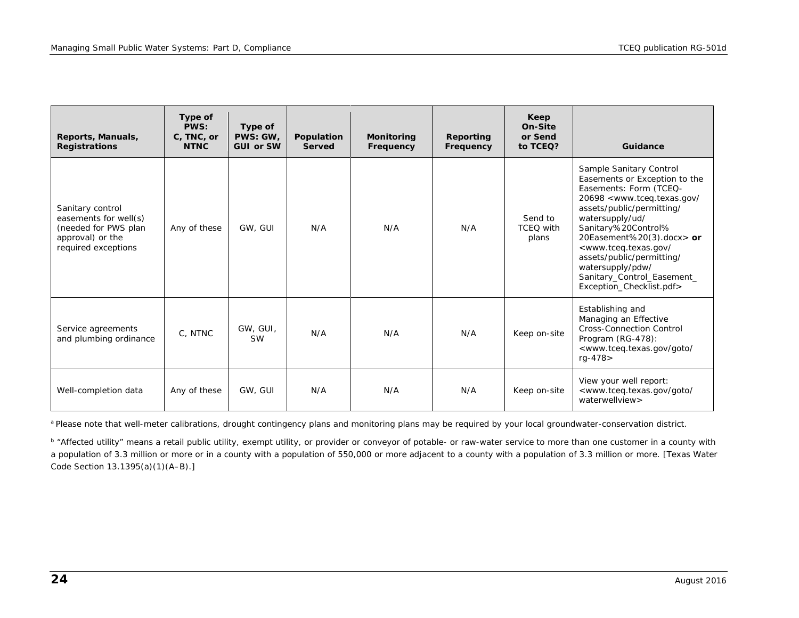| Reports, Manuals,<br><b>Registrations</b>                                                                    | Type of<br>PWS:<br>C, TNC, or<br><b>NTNC</b> | Type of<br>PWS: GW.<br><b>GUI or SW</b> | Population<br><b>Served</b> | <b>Monitoring</b><br>Frequency | Reporting<br>Frequency | Keep<br>On-Site<br>or Send<br>to TCEQ? | Guidance                                                                                                                                                                                                                                                                                                                                                                                                             |
|--------------------------------------------------------------------------------------------------------------|----------------------------------------------|-----------------------------------------|-----------------------------|--------------------------------|------------------------|----------------------------------------|----------------------------------------------------------------------------------------------------------------------------------------------------------------------------------------------------------------------------------------------------------------------------------------------------------------------------------------------------------------------------------------------------------------------|
| Sanitary control<br>easements for well(s)<br>(needed for PWS plan<br>approval) or the<br>required exceptions | Any of these                                 | GW, GUI                                 | N/A                         | N/A                            | N/A                    | Send to<br><b>TCEQ</b> with<br>plans   | Sample Sanitary Control<br>Easements or Exception to the<br>Easements: Form (TCEQ-<br>20698 <www.tceg.texas.gov <br="">assets/public/permitting/<br/>watersupply/ud/<br/>Sanitary%20Control%<br/>20Easement%20(3).docx&gt; or<br/><www.tceg.texas.gov <br="">assets/public/permitting/<br/>watersupply/pdw/<br/>Sanitary_Control_Easement_<br/>Exception Checklist.pdf&gt;</www.tceg.texas.gov></www.tceg.texas.gov> |
| Service agreements<br>and plumbing ordinance                                                                 | C, NTNC                                      | GW, GUI,<br><b>SW</b>                   | N/A                         | N/A                            | N/A                    | Keep on-site                           | Establishing and<br>Managing an Effective<br><b>Cross-Connection Control</b><br>Program (RG-478):<br><www.tceq.texas.gov <br="" goto="">rg-478&gt;</www.tceq.texas.gov>                                                                                                                                                                                                                                              |
| Well-completion data                                                                                         | Any of these                                 | GW, GUI                                 | N/A                         | N/A                            | N/A                    | Keep on-site                           | View your well report:<br><www.tceq.texas.gov <br="" goto="">waterwellview&gt;</www.tceq.texas.gov>                                                                                                                                                                                                                                                                                                                  |

<span id="page-23-0"></span>a Please note that well-meter calibrations, drought contingency plans and monitoring plans may be required by your local groundwater-conservation distric[t.](#page-22-0)

*<sup>b</sup>* "Affected utility" means a retail public utility, exempt utility, or provider or conveyor of potable- or raw-water service to more than one customer in a county with a population of 3.3 million or more or in a county with a population of 550,000 or more adjacent to a county with a population of 3.3 million or more. [Texas Water Code Section 13.1395(a)(1)(A–B[\).\]](#page-20-0)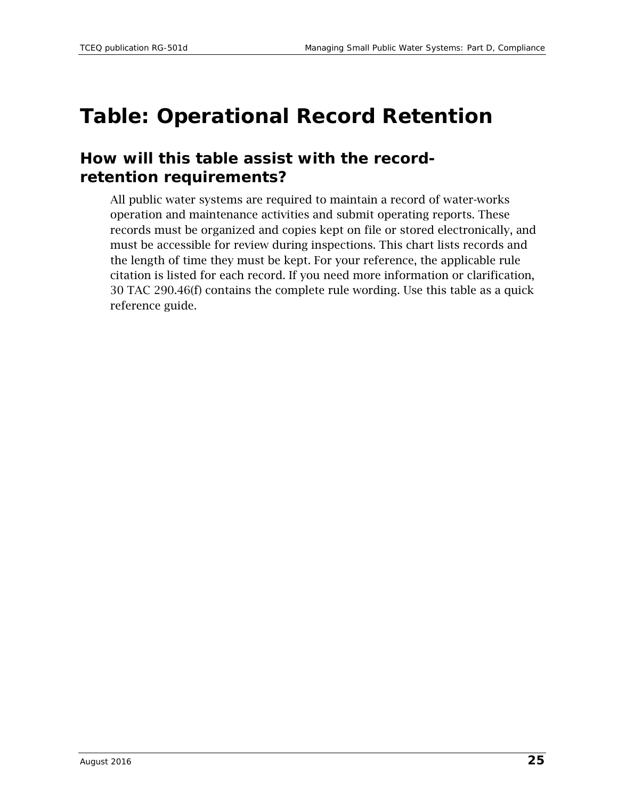### <span id="page-24-0"></span>**Table: Operational Record Retention**

#### **How will this table assist with the recordretention requirements?**

All public water systems are required to maintain a record of water-works operation and maintenance activities and submit operating reports. These records must be organized and copies kept on file or stored electronically, and must be accessible for review during inspections. This chart lists records and the length of time they must be kept. For your reference, the applicable rule citation is listed for each record. If you need more information or clarification, 30 TAC 290.46(f) contains the complete rule wording. Use this table as a quick reference guide.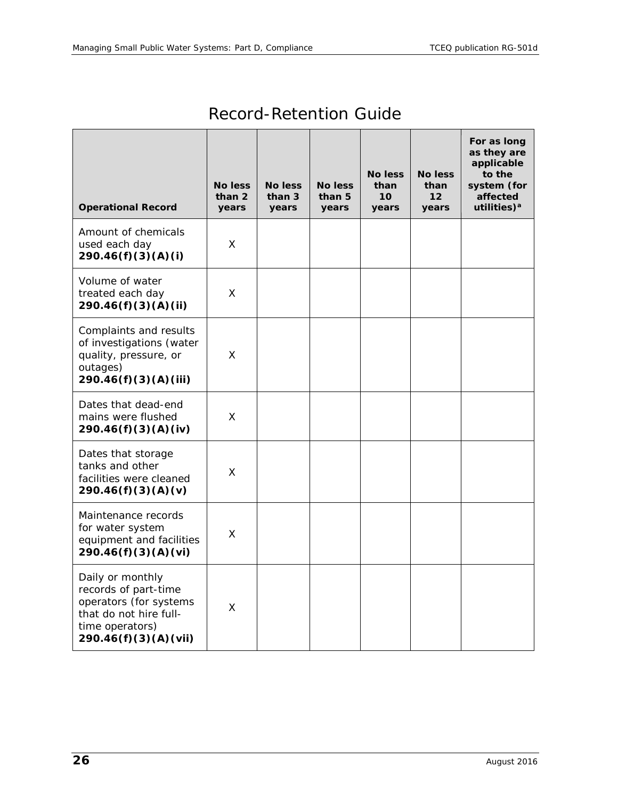<span id="page-25-0"></span>

| <b>Operational Record</b>                                                                                                               | <b>No less</b><br>than 2<br>years | <b>No less</b><br>than 3<br>years | <b>No less</b><br>than 5<br>years | <b>No less</b><br>than<br>10<br>years | <b>No less</b><br>than<br>$12 \overline{ }$<br>years | For as long<br>as they are<br>applicable<br>to the<br>system (for<br>affected<br>utilities) <sup>a</sup> |
|-----------------------------------------------------------------------------------------------------------------------------------------|-----------------------------------|-----------------------------------|-----------------------------------|---------------------------------------|------------------------------------------------------|----------------------------------------------------------------------------------------------------------|
| Amount of chemicals<br>used each day<br>290.46(f)(3)(A)(i)                                                                              | X                                 |                                   |                                   |                                       |                                                      |                                                                                                          |
| Volume of water<br>treated each day<br>290.46(f)(3)(A)(ii)                                                                              | X                                 |                                   |                                   |                                       |                                                      |                                                                                                          |
| Complaints and results<br>of investigations (water<br>quality, pressure, or<br>outages)<br>290.46(f)(3)(A)(iii)                         | X                                 |                                   |                                   |                                       |                                                      |                                                                                                          |
| Dates that dead-end<br>mains were flushed<br>290.46(f)(3)(A)(iv)                                                                        | X                                 |                                   |                                   |                                       |                                                      |                                                                                                          |
| Dates that storage<br>tanks and other<br>facilities were cleaned<br>290.46(f)(3)(A)(v)                                                  | X                                 |                                   |                                   |                                       |                                                      |                                                                                                          |
| Maintenance records<br>for water system<br>equipment and facilities<br>290.46(f)(3)(A)(vi)                                              | X                                 |                                   |                                   |                                       |                                                      |                                                                                                          |
| Daily or monthly<br>records of part-time<br>operators (for systems<br>that do not hire full-<br>time operators)<br>290.46(f)(3)(A)(vii) | X                                 |                                   |                                   |                                       |                                                      |                                                                                                          |

### Record-Retention Guide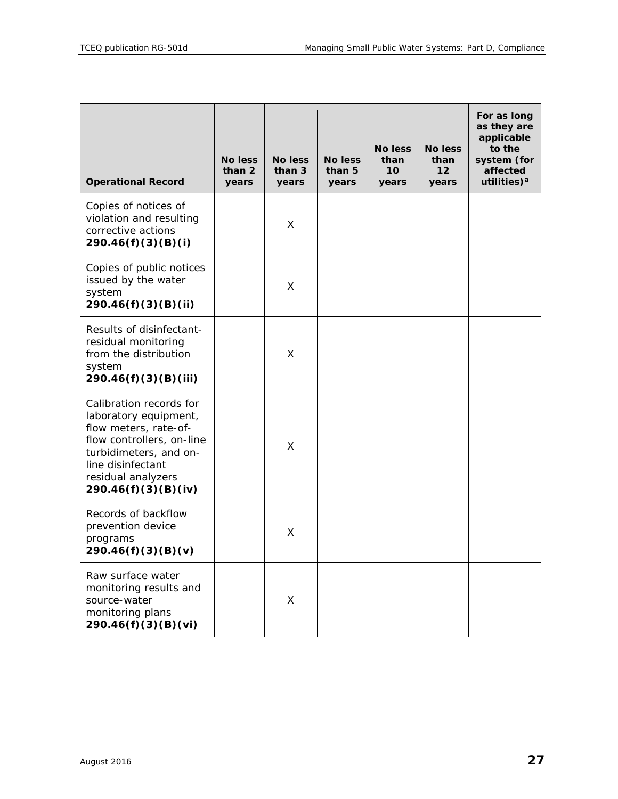| <b>Operational Record</b>                                                                                                                                                                          | <b>No less</b><br>than 2<br>years | <b>No less</b><br>than 3<br>years | <b>No less</b><br>than 5<br>years | <b>No less</b><br>than<br>10<br>years | <b>No less</b><br>than<br>12<br>years | For as long<br>as they are<br>applicable<br>to the<br>system (for<br>affected<br>utilities) $a$ |
|----------------------------------------------------------------------------------------------------------------------------------------------------------------------------------------------------|-----------------------------------|-----------------------------------|-----------------------------------|---------------------------------------|---------------------------------------|-------------------------------------------------------------------------------------------------|
| Copies of notices of<br>violation and resulting<br>corrective actions<br>290.46(f)(3)(B)(i)                                                                                                        |                                   | X                                 |                                   |                                       |                                       |                                                                                                 |
| Copies of public notices<br>issued by the water<br>system<br>290.46(f)(3)(B)(ii)                                                                                                                   |                                   | X                                 |                                   |                                       |                                       |                                                                                                 |
| Results of disinfectant-<br>residual monitoring<br>from the distribution<br>system<br>290.46(f)(3)(B)(iii)                                                                                         |                                   | X                                 |                                   |                                       |                                       |                                                                                                 |
| Calibration records for<br>laboratory equipment,<br>flow meters, rate-of-<br>flow controllers, on-line<br>turbidimeters, and on-<br>line disinfectant<br>residual analyzers<br>290.46(f)(3)(B)(iv) |                                   | X                                 |                                   |                                       |                                       |                                                                                                 |
| Records of backflow<br>prevention device<br>programs<br>290.46(f)(3)(B)(v)                                                                                                                         |                                   | X                                 |                                   |                                       |                                       |                                                                                                 |
| Raw surface water<br>monitoring results and<br>source-water<br>monitoring plans<br>290.46(f)(3)(B)(vi)                                                                                             |                                   | X                                 |                                   |                                       |                                       |                                                                                                 |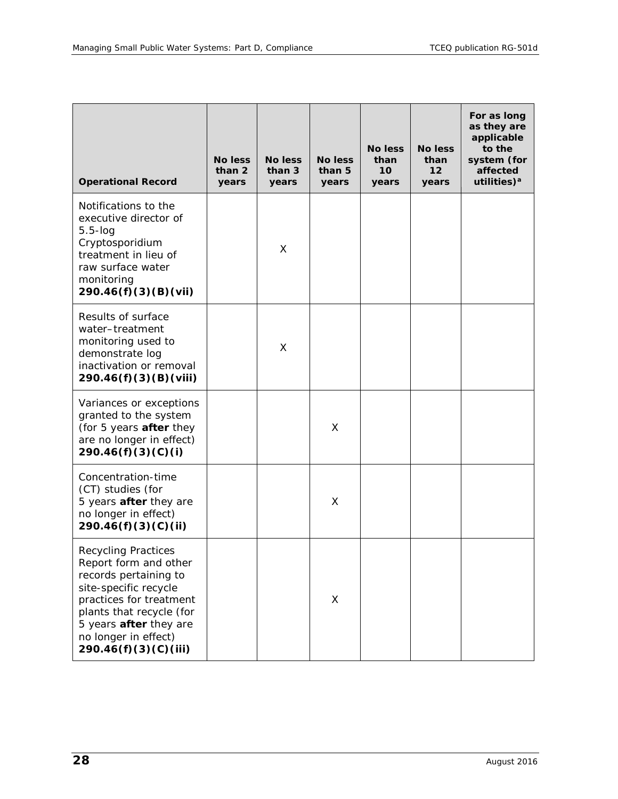| <b>Operational Record</b>                                                                                                                                                                                                                     | No less<br>than 2<br>years | <b>No less</b><br>than 3<br>years | <b>No less</b><br>than 5<br>years | <b>No less</b><br>than<br>10 <sup>1</sup><br>years | <b>No less</b><br>than<br>12<br>years | For as long<br>as they are<br>applicable<br>to the<br>system (for<br>affected<br>utilities) <sup>a</sup> |
|-----------------------------------------------------------------------------------------------------------------------------------------------------------------------------------------------------------------------------------------------|----------------------------|-----------------------------------|-----------------------------------|----------------------------------------------------|---------------------------------------|----------------------------------------------------------------------------------------------------------|
| Notifications to the<br>executive director of<br>$5.5$ - $log$<br>Cryptosporidium<br>treatment in lieu of<br>raw surface water<br>monitoring<br>290.46(f)(3)(B)(Vii)                                                                          |                            | X                                 |                                   |                                                    |                                       |                                                                                                          |
| Results of surface<br>water-treatment<br>monitoring used to<br>demonstrate log<br>inactivation or removal<br>290.46(f)(3)(B)(Viii)                                                                                                            |                            | X                                 |                                   |                                                    |                                       |                                                                                                          |
| Variances or exceptions<br>granted to the system<br>(for 5 years after they<br>are no longer in effect)<br>290.46(f)(3)(C)(i)                                                                                                                 |                            |                                   | X                                 |                                                    |                                       |                                                                                                          |
| Concentration-time<br>(CT) studies (for<br>5 years <b>after</b> they are<br>no longer in effect)<br>290.46(f)(3)(C)(ii)                                                                                                                       |                            |                                   | X                                 |                                                    |                                       |                                                                                                          |
| <b>Recycling Practices</b><br>Report form and other<br>records pertaining to<br>site-specific recycle<br>practices for treatment<br>plants that recycle (for<br>5 years <b>after</b> they are<br>no longer in effect)<br>290.46(f)(3)(C)(iii) |                            |                                   | X                                 |                                                    |                                       |                                                                                                          |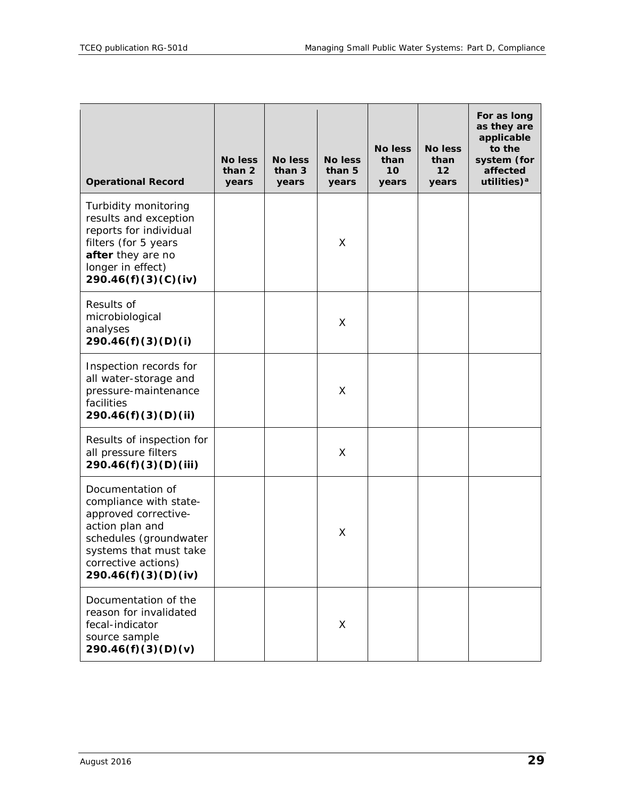| <b>Operational Record</b>                                                                                                                                                               | <b>No less</b><br>than 2<br>years | <b>No less</b><br>than 3<br>years | <b>No less</b><br>than 5<br>years | <b>No less</b><br>than<br>10 <sup>1</sup><br>years | <b>No less</b><br>than<br>12<br>years | For as long<br>as they are<br>applicable<br>to the<br>system (for<br>affected<br>utilities) <sup>a</sup> |
|-----------------------------------------------------------------------------------------------------------------------------------------------------------------------------------------|-----------------------------------|-----------------------------------|-----------------------------------|----------------------------------------------------|---------------------------------------|----------------------------------------------------------------------------------------------------------|
| Turbidity monitoring<br>results and exception<br>reports for individual<br>filters (for 5 years<br>after they are no<br>longer in effect)<br>290.46(f)(3)(C)(iv)                        |                                   |                                   | X                                 |                                                    |                                       |                                                                                                          |
| Results of<br>microbiological<br>analyses<br>290.46(f)(3)(D)(i)                                                                                                                         |                                   |                                   | X                                 |                                                    |                                       |                                                                                                          |
| Inspection records for<br>all water-storage and<br>pressure-maintenance<br>facilities<br>290.46(f)(3)(D)(ii)                                                                            |                                   |                                   | X                                 |                                                    |                                       |                                                                                                          |
| Results of inspection for<br>all pressure filters<br>290.46(f)(3)(D)(iii)                                                                                                               |                                   |                                   | X                                 |                                                    |                                       |                                                                                                          |
| Documentation of<br>compliance with state-<br>approved corrective-<br>action plan and<br>schedules (groundwater<br>systems that must take<br>corrective actions)<br>290.46(f)(3)(D)(iv) |                                   |                                   | X                                 |                                                    |                                       |                                                                                                          |
| Documentation of the<br>reason for invalidated<br>fecal-indicator<br>source sample<br>290.46(f)(3)(D)(v)                                                                                |                                   |                                   | X                                 |                                                    |                                       |                                                                                                          |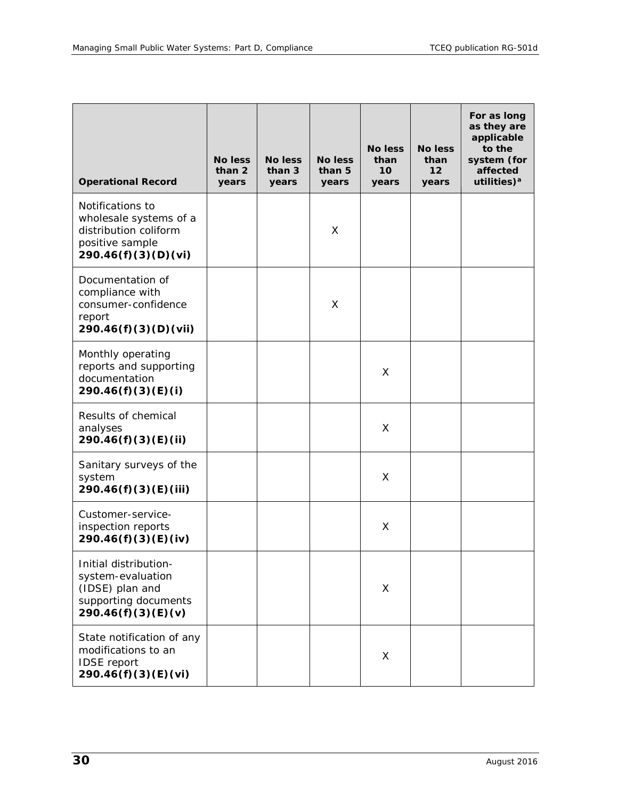| <b>Operational Record</b>                                                                                     | <b>No less</b><br>than 2<br>years | <b>No less</b><br>than 3<br>years | <b>No less</b><br>than 5<br>years | <b>No less</b><br>than<br>10<br>years | <b>No less</b><br>than<br>$12 \overline{ }$<br>years | For as long<br>as they are<br>applicable<br>to the<br>system (for<br>affected<br>utilities) <sup>a</sup> |
|---------------------------------------------------------------------------------------------------------------|-----------------------------------|-----------------------------------|-----------------------------------|---------------------------------------|------------------------------------------------------|----------------------------------------------------------------------------------------------------------|
| Notifications to<br>wholesale systems of a<br>distribution coliform<br>positive sample<br>290.46(f)(3)(D)(vi) |                                   |                                   | X                                 |                                       |                                                      |                                                                                                          |
| Documentation of<br>compliance with<br>consumer-confidence<br>report<br>290.46(f)(3)(D)(vii)                  |                                   |                                   | X                                 |                                       |                                                      |                                                                                                          |
| Monthly operating<br>reports and supporting<br>documentation<br>290.46(f)(3)(E)(i)                            |                                   |                                   |                                   | Χ                                     |                                                      |                                                                                                          |
| Results of chemical<br>analyses<br>290.46(f)(3)(E)(ii)                                                        |                                   |                                   |                                   | X                                     |                                                      |                                                                                                          |
| Sanitary surveys of the<br>system<br>290.46(f)(3)(E)(iii)                                                     |                                   |                                   |                                   | X                                     |                                                      |                                                                                                          |
| Customer-service-<br>inspection reports<br>290.46(f)(3)(E)(iv)                                                |                                   |                                   |                                   | Χ                                     |                                                      |                                                                                                          |
| Initial distribution-<br>system-evaluation<br>(IDSE) plan and<br>supporting documents<br>290.46(f)(3)(E)(v)   |                                   |                                   |                                   | X                                     |                                                      |                                                                                                          |
| State notification of any<br>modifications to an<br><b>IDSE</b> report<br>290.46(f)(3)(E)(vi)                 |                                   |                                   |                                   | X                                     |                                                      |                                                                                                          |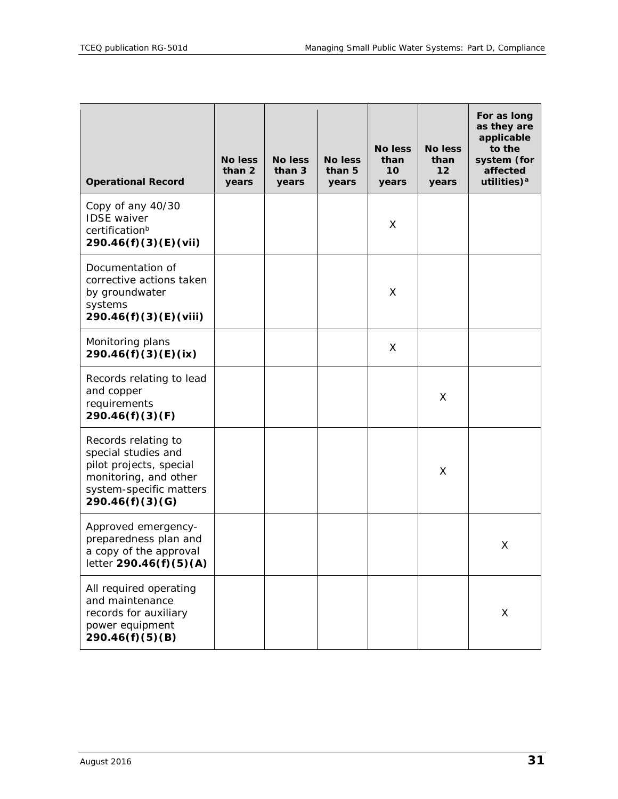| <b>Operational Record</b>                                                                                                                    | <b>No less</b><br>than 2<br>years | <b>No less</b><br>than 3<br>years | No less<br>than 5<br>years | <b>No less</b><br>than<br>10<br>years | <b>No less</b><br>than<br>12<br>years | For as long<br>as they are<br>applicable<br>to the<br>system (for<br>affected<br>utilities) <sup>a</sup> |
|----------------------------------------------------------------------------------------------------------------------------------------------|-----------------------------------|-----------------------------------|----------------------------|---------------------------------------|---------------------------------------|----------------------------------------------------------------------------------------------------------|
| Copy of any 40/30<br><b>IDSE</b> waiver<br>certification <sup>b</sup><br>290.46(f)(3)(E)(vii)                                                |                                   |                                   |                            | X                                     |                                       |                                                                                                          |
| Documentation of<br>corrective actions taken<br>by groundwater<br>systems<br>290.46(f)(3)(E)(viii)                                           |                                   |                                   |                            | X                                     |                                       |                                                                                                          |
| Monitoring plans<br>290.46(f)(3)(E)(ix)                                                                                                      |                                   |                                   |                            | X                                     |                                       |                                                                                                          |
| Records relating to lead<br>and copper<br>requirements<br>290.46(f)(3)(F)                                                                    |                                   |                                   |                            |                                       | X                                     |                                                                                                          |
| Records relating to<br>special studies and<br>pilot projects, special<br>monitoring, and other<br>system-specific matters<br>290.46(f)(3)(G) |                                   |                                   |                            |                                       | X                                     |                                                                                                          |
| Approved emergency-<br>preparedness plan and<br>a copy of the approval<br>letter 290.46(f)(5)(A)                                             |                                   |                                   |                            |                                       |                                       | X                                                                                                        |
| All required operating<br>and maintenance<br>records for auxiliary<br>power equipment<br>290.46(f)(5)(B)                                     |                                   |                                   |                            |                                       |                                       | X                                                                                                        |